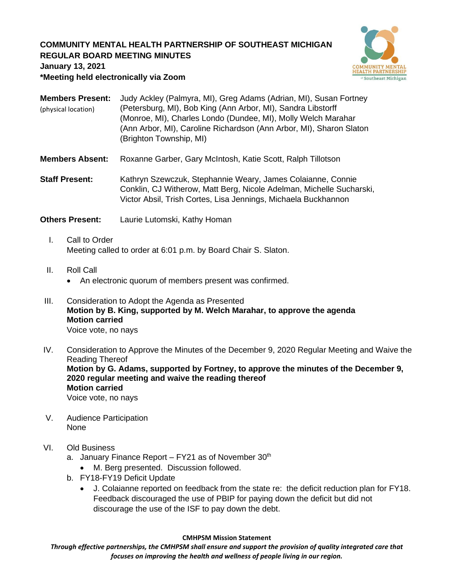## **COMMUNITY MENTAL HEALTH PARTNERSHIP OF SOUTHEAST MICHIGAN REGULAR BOARD MEETING MINUTES**



**January 13, 2021**

**\*Meeting held electronically via Zoom**

| <b>Members Present:</b> | Judy Ackley (Palmyra, MI), Greg Adams (Adrian, MI), Susan Fortney   |
|-------------------------|---------------------------------------------------------------------|
| (physical location)     | (Petersburg, MI), Bob King (Ann Arbor, MI), Sandra Libstorff        |
|                         | (Monroe, MI), Charles Londo (Dundee, MI), Molly Welch Marahar       |
|                         | (Ann Arbor, MI), Caroline Richardson (Ann Arbor, MI), Sharon Slaton |
|                         | (Brighton Township, MI)                                             |

**Members Absent:** Roxanne Garber, Gary McIntosh, Katie Scott, Ralph Tillotson

**Staff Present:** Kathryn Szewczuk, Stephannie Weary, James Colaianne, Connie Conklin, CJ Witherow, Matt Berg, Nicole Adelman, Michelle Sucharski, Victor Absil, Trish Cortes, Lisa Jennings, Michaela Buckhannon

**Others Present:** Laurie Lutomski, Kathy Homan

- I. Call to Order Meeting called to order at 6:01 p.m. by Board Chair S. Slaton.
- II. Roll Call
	- An electronic quorum of members present was confirmed.
- III. Consideration to Adopt the Agenda as Presented **Motion by B. King, supported by M. Welch Marahar, to approve the agenda Motion carried** Voice vote, no nays
- IV. Consideration to Approve the Minutes of the December 9, 2020 Regular Meeting and Waive the Reading Thereof **Motion by G. Adams, supported by Fortney, to approve the minutes of the December 9, 2020 regular meeting and waive the reading thereof Motion carried** Voice vote, no nays
- V. Audience Participation None
- VI. Old Business
	- a. January Finance Report FY21 as of November  $30<sup>th</sup>$ 
		- M. Berg presented. Discussion followed.
	- b. FY18-FY19 Deficit Update
		- J. Colaianne reported on feedback from the state re: the deficit reduction plan for FY18. Feedback discouraged the use of PBIP for paying down the deficit but did not discourage the use of the ISF to pay down the debt.

#### **CMHPSM Mission Statement**

*Through effective partnerships, the CMHPSM shall ensure and support the provision of quality integrated care that focuses on improving the health and wellness of people living in our region.*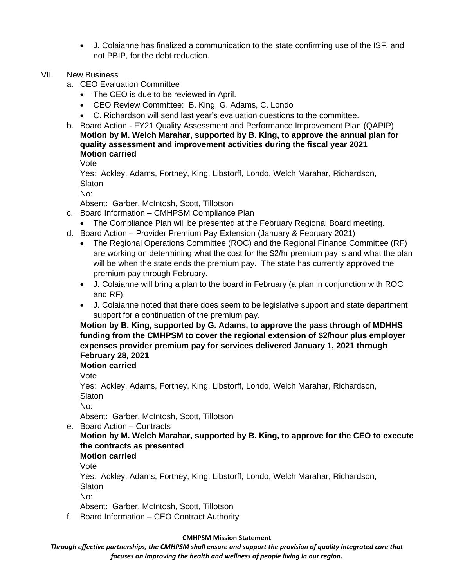- J. Colaianne has finalized a communication to the state confirming use of the ISF, and not PBIP, for the debt reduction.
- VII. New Business
	- a. CEO Evaluation Committee
		- The CEO is due to be reviewed in April.
		- CEO Review Committee: B. King, G. Adams, C. Londo
		- C. Richardson will send last year's evaluation questions to the committee.
	- b. Board Action FY21 Quality Assessment and Performance Improvement Plan (QAPIP) **Motion by M. Welch Marahar, supported by B. King, to approve the annual plan for quality assessment and improvement activities during the fiscal year 2021 Motion carried**

Vote

Yes: Ackley, Adams, Fortney, King, Libstorff, Londo, Welch Marahar, Richardson, **Slaton** 

No:

Absent: Garber, McIntosh, Scott, Tillotson

- c. Board Information CMHPSM Compliance Plan
	- The Compliance Plan will be presented at the February Regional Board meeting.
- d. Board Action Provider Premium Pay Extension (January & February 2021)
	- The Regional Operations Committee (ROC) and the Regional Finance Committee (RF) are working on determining what the cost for the \$2/hr premium pay is and what the plan will be when the state ends the premium pay. The state has currently approved the premium pay through February.
	- J. Colaianne will bring a plan to the board in February (a plan in conjunction with ROC and RF).
	- J. Colaianne noted that there does seem to be legislative support and state department support for a continuation of the premium pay.

**Motion by B. King, supported by G. Adams, to approve the pass through of MDHHS funding from the CMHPSM to cover the regional extension of \$2/hour plus employer expenses provider premium pay for services delivered January 1, 2021 through February 28, 2021**

# **Motion carried**

Vote

Yes: Ackley, Adams, Fortney, King, Libstorff, Londo, Welch Marahar, Richardson, **Slaton** 

No:

Absent: Garber, McIntosh, Scott, Tillotson

e. Board Action – Contracts

## **Motion by M. Welch Marahar, supported by B. King, to approve for the CEO to execute the contracts as presented**

#### **Motion carried**

Vote

Yes: Ackley, Adams, Fortney, King, Libstorff, Londo, Welch Marahar, Richardson, **Slaton** 

No:

Absent: Garber, McIntosh, Scott, Tillotson

f. Board Information – CEO Contract Authority

#### **CMHPSM Mission Statement**

*Through effective partnerships, the CMHPSM shall ensure and support the provision of quality integrated care that focuses on improving the health and wellness of people living in our region.*